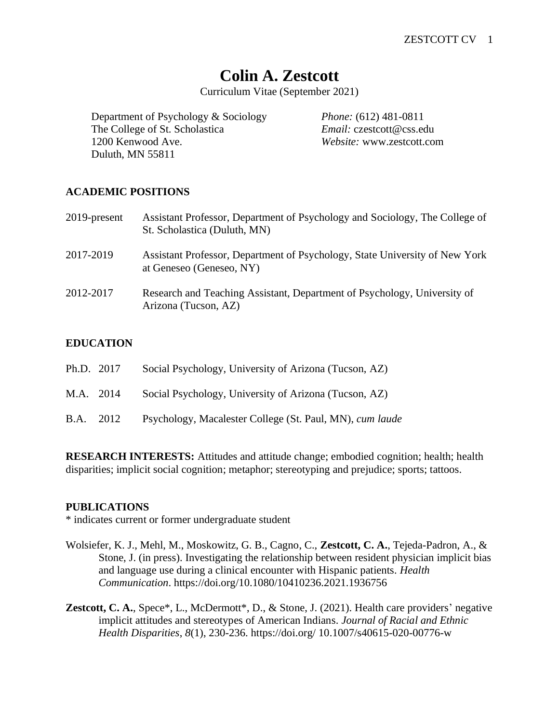# **Colin A. Zestcott**

Curriculum Vitae (September 2021)

Department of Psychology & Sociology *Phone:* (612) 481-0811 The College of St. Scholastica *Email:* czestcott@css.edu 1200 Kenwood Ave. *Website:* www.zestcott.com Duluth, MN 55811

# **ACADEMIC POSITIONS**

| 2019-present | Assistant Professor, Department of Psychology and Sociology, The College of<br>St. Scholastica (Duluth, MN) |
|--------------|-------------------------------------------------------------------------------------------------------------|
| 2017-2019    | Assistant Professor, Department of Psychology, State University of New York<br>at Geneseo (Geneseo, NY)     |
| 2012-2017    | Research and Teaching Assistant, Department of Psychology, University of<br>Arizona (Tucson, AZ)            |

## **EDUCATION**

| Ph.D. 2017 |           | Social Psychology, University of Arizona (Tucson, AZ)    |
|------------|-----------|----------------------------------------------------------|
| M.A. 2014  |           | Social Psychology, University of Arizona (Tucson, AZ)    |
|            | B.A. 2012 | Psychology, Macalester College (St. Paul, MN), cum laude |

**RESEARCH INTERESTS:** Attitudes and attitude change; embodied cognition; health; health disparities; implicit social cognition; metaphor; stereotyping and prejudice; sports; tattoos.

#### **PUBLICATIONS**

\* indicates current or former undergraduate student

- Wolsiefer, K. J., Mehl, M., Moskowitz, G. B., Cagno, C., **Zestcott, C. A.**, Tejeda-Padron, A., & Stone, J. (in press). Investigating the relationship between resident physician implicit bias and language use during a clinical encounter with Hispanic patients*. Health Communication*. https://doi.org/10.1080/10410236.2021.1936756
- **Zestcott, C. A.**, Spece\*, L., McDermott\*, D., & Stone, J. (2021). Health care providers' negative implicit attitudes and stereotypes of American Indians. *Journal of Racial and Ethnic Health Disparities*, *8*(1), 230-236. https://doi.org/ 10.1007/s40615-020-00776-w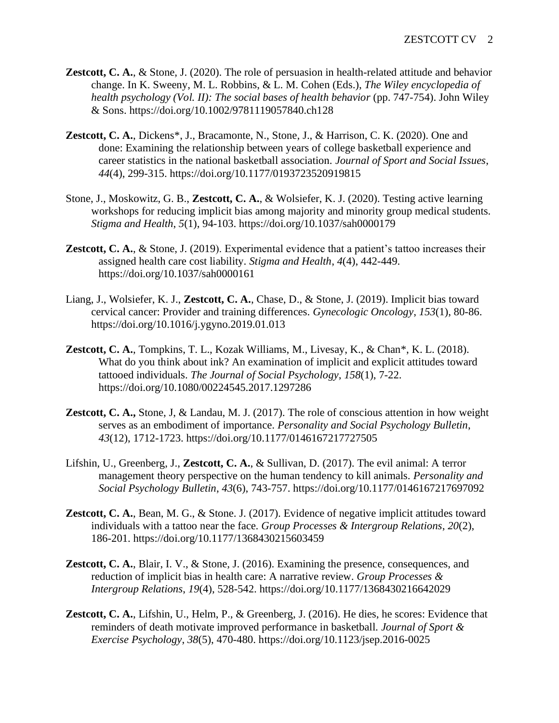- **Zestcott, C. A.**, & Stone, J. (2020). The role of persuasion in health-related attitude and behavior change. In K. Sweeny, M. L. Robbins, & L. M. Cohen (Eds.), *The Wiley encyclopedia of health psychology (Vol. II): The social bases of health behavior* (pp. 747-754). John Wiley & Sons. https://doi.org/10.1002/9781119057840.ch128
- **Zestcott, C. A.**, Dickens\*, J., Bracamonte, N., Stone, J., & Harrison, C. K. (2020). One and done: Examining the relationship between years of college basketball experience and career statistics in the national basketball association*. Journal of Sport and Social Issues*, *44*(4), 299-315. https://doi.org/10.1177/0193723520919815
- Stone, J., Moskowitz, G. B., **Zestcott, C. A.**, & Wolsiefer, K. J. (2020). Testing active learning workshops for reducing implicit bias among majority and minority group medical students*. Stigma and Health*, *5*(1), 94-103. https://doi.org/10.1037/sah0000179
- **Zestcott, C. A., & Stone, J. (2019).** Experimental evidence that a patient's tattoo increases their assigned health care cost liability. *Stigma and Health*, *4*(4), 442-449. https://doi.org/10.1037/sah0000161
- Liang, J., Wolsiefer, K. J., **Zestcott, C. A.**, Chase, D., & Stone, J. (2019). Implicit bias toward cervical cancer: Provider and training differences*. Gynecologic Oncology*, *153*(1), 80-86. https://doi.org/10.1016/j.ygyno.2019.01.013
- **Zestcott, C. A.**, Tompkins, T. L., Kozak Williams, M., Livesay, K., & Chan\*, K. L. (2018). What do you think about ink? An examination of implicit and explicit attitudes toward tattooed individuals. *The Journal of Social Psychology*, *158*(1), 7-22. https://doi.org/10.1080/00224545.2017.1297286
- **Zestcott, C. A.,** Stone, J, & Landau, M. J. (2017). The role of conscious attention in how weight serves as an embodiment of importance. *Personality and Social Psychology Bulletin*, *43*(12), 1712-1723. https://doi.org/10.1177/0146167217727505
- Lifshin, U., Greenberg, J., **Zestcott, C. A.**, & Sullivan, D. (2017). The evil animal: A terror management theory perspective on the human tendency to kill animals. *Personality and Social Psychology Bulletin*, *43*(6), 743-757. https://doi.org/10.1177/0146167217697092
- **Zestcott, C. A., Bean, M. G., & Stone. J. (2017). Evidence of negative implicit attitudes toward** individuals with a tattoo near the face. *Group Processes & Intergroup Relations*, *20*(2), 186-201. https://doi.org/10.1177/1368430215603459
- **Zestcott, C. A.**, Blair, I. V., & Stone, J. (2016). Examining the presence, consequences, and reduction of implicit bias in health care: A narrative review. *Group Processes & Intergroup Relations*, *19*(4), 528-542. https://doi.org/10.1177/1368430216642029
- **Zestcott, C. A.**, Lifshin, U., Helm, P., & Greenberg, J. (2016). He dies, he scores: Evidence that reminders of death motivate improved performance in basketball*. Journal of Sport & Exercise Psychology*, *38*(5), 470-480. https://doi.org/10.1123/jsep.2016-0025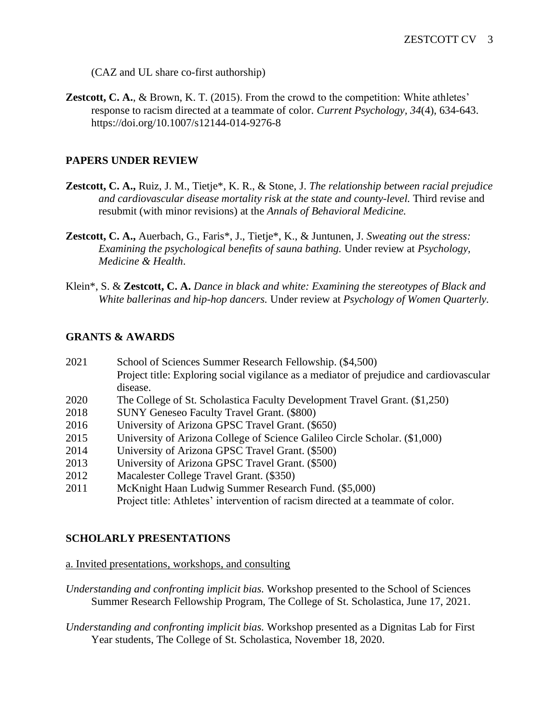(CAZ and UL share co-first authorship)

**Zestcott, C. A.**, & Brown, K. T. (2015). From the crowd to the competition: White athletes' response to racism directed at a teammate of color. *Current Psychology, 34*(4), 634-643. https://doi.org/10.1007/s12144-014-9276-8

# **PAPERS UNDER REVIEW**

- **Zestcott, C. A.,** Ruiz, J. M., Tietje\*, K. R., & Stone, J. *The relationship between racial prejudice and cardiovascular disease mortality risk at the state and county-level.* Third revise and resubmit (with minor revisions) at the *Annals of Behavioral Medicine.*
- **Zestcott, C. A.,** Auerbach, G., Faris\*, J., Tietje\*, K., & Juntunen, J. *Sweating out the stress: Examining the psychological benefits of sauna bathing.* Under review at *Psychology, Medicine & Health*.
- Klein\*, S. & **Zestcott, C. A.** *Dance in black and white: Examining the stereotypes of Black and White ballerinas and hip-hop dancers.* Under review at *Psychology of Women Quarterly.*

## **GRANTS & AWARDS**

| 2021 | School of Sciences Summer Research Fellowship. (\$4,500)                                |
|------|-----------------------------------------------------------------------------------------|
|      | Project title: Exploring social vigilance as a mediator of prejudice and cardiovascular |
|      | disease.                                                                                |
| 2020 | The College of St. Scholastica Faculty Development Travel Grant. (\$1,250)              |
| 2018 | <b>SUNY Geneseo Faculty Travel Grant. (\$800)</b>                                       |
| 2016 | University of Arizona GPSC Travel Grant. (\$650)                                        |
| 2015 | University of Arizona College of Science Galileo Circle Scholar. (\$1,000)              |
| 2014 | University of Arizona GPSC Travel Grant. (\$500)                                        |
| 2013 | University of Arizona GPSC Travel Grant. (\$500)                                        |
| 2012 | Macalester College Travel Grant. (\$350)                                                |
| 2011 | McKnight Haan Ludwig Summer Research Fund. (\$5,000)                                    |
|      | Project title: Athletes' intervention of racism directed at a teammate of color.        |
|      |                                                                                         |

#### **SCHOLARLY PRESENTATIONS**

#### a. Invited presentations, workshops, and consulting

- *Understanding and confronting implicit bias.* Workshop presented to the School of Sciences Summer Research Fellowship Program, The College of St. Scholastica, June 17, 2021.
- *Understanding and confronting implicit bias.* Workshop presented as a Dignitas Lab for First Year students, The College of St. Scholastica, November 18, 2020.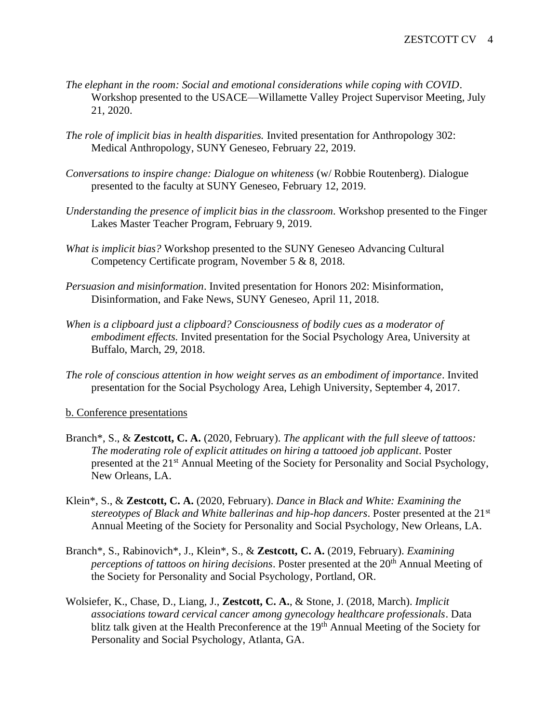- *The elephant in the room: Social and emotional considerations while coping with COVID*. Workshop presented to the USACE—Willamette Valley Project Supervisor Meeting, July 21, 2020.
- *The role of implicit bias in health disparities.* Invited presentation for Anthropology 302: Medical Anthropology, SUNY Geneseo, February 22, 2019.
- *Conversations to inspire change: Dialogue on whiteness* (w/ Robbie Routenberg). Dialogue presented to the faculty at SUNY Geneseo, February 12, 2019.
- *Understanding the presence of implicit bias in the classroom.* Workshop presented to the Finger Lakes Master Teacher Program, February 9, 2019.
- *What is implicit bias?* Workshop presented to the SUNY Geneseo Advancing Cultural Competency Certificate program, November 5 & 8, 2018.
- *Persuasion and misinformation*. Invited presentation for Honors 202: Misinformation, Disinformation, and Fake News, SUNY Geneseo, April 11, 2018.
- *When is a clipboard just a clipboard? Consciousness of bodily cues as a moderator of embodiment effects.* Invited presentation for the Social Psychology Area, University at Buffalo, March, 29, 2018.
- *The role of conscious attention in how weight serves as an embodiment of importance*. Invited presentation for the Social Psychology Area, Lehigh University, September 4, 2017.

b. Conference presentations

- Branch\*, S., & **Zestcott, C. A.** (2020, February). *The applicant with the full sleeve of tattoos: The moderating role of explicit attitudes on hiring a tattooed job applicant*. Poster presented at the 21st Annual Meeting of the Society for Personality and Social Psychology, New Orleans, LA.
- Klein\*, S., & **Zestcott, C. A.** (2020, February). *Dance in Black and White: Examining the stereotypes of Black and White ballerinas and hip-hop dancers*. Poster presented at the 21st Annual Meeting of the Society for Personality and Social Psychology, New Orleans, LA.
- Branch\*, S., Rabinovich\*, J., Klein\*, S., & **Zestcott, C. A.** (2019, February). *Examining perceptions of tattoos on hiring decisions.* Poster presented at the 20<sup>th</sup> Annual Meeting of the Society for Personality and Social Psychology, Portland, OR.
- Wolsiefer, K., Chase, D., Liang, J., **Zestcott, C. A.**, & Stone, J. (2018, March). *Implicit associations toward cervical cancer among gynecology healthcare professionals*. Data blitz talk given at the Health Preconference at the 19<sup>th</sup> Annual Meeting of the Society for Personality and Social Psychology, Atlanta, GA.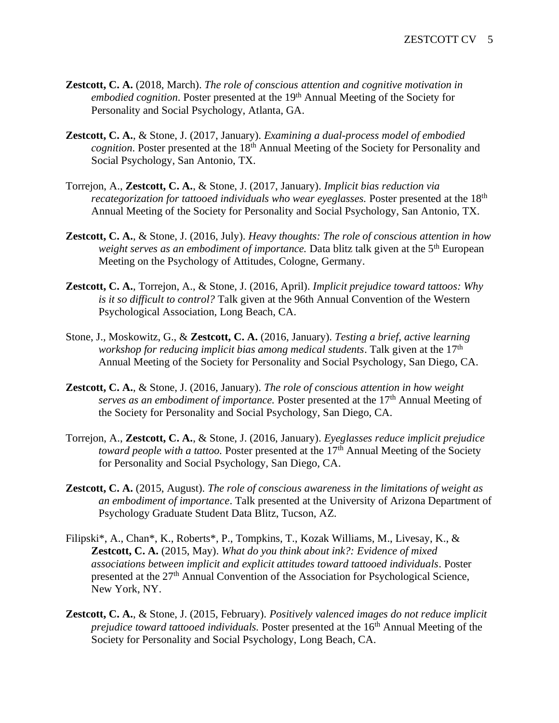- **Zestcott, C. A.** (2018, March). *The role of conscious attention and cognitive motivation in embodied cognition*. Poster presented at the 19<sup>th</sup> Annual Meeting of the Society for Personality and Social Psychology, Atlanta, GA.
- **Zestcott, C. A.**, & Stone, J. (2017, January). *Examining a dual-process model of embodied cognition*. Poster presented at the 18<sup>th</sup> Annual Meeting of the Society for Personality and Social Psychology, San Antonio, TX.
- Torrejon, A., **Zestcott, C. A.**, & Stone, J. (2017, January). *Implicit bias reduction via recategorization for tattooed individuals who wear eyeglasses.* Poster presented at the 18<sup>th</sup> Annual Meeting of the Society for Personality and Social Psychology, San Antonio, TX.
- **Zestcott, C. A.**, & Stone, J. (2016, July). *Heavy thoughts: The role of conscious attention in how weight serves as an embodiment of importance.* Data blitz talk given at the 5<sup>th</sup> European Meeting on the Psychology of Attitudes, Cologne, Germany.
- **Zestcott, C. A.**, Torrejon, A., & Stone, J. (2016, April). *Implicit prejudice toward tattoos: Why is it so difficult to control?* Talk given at the 96th Annual Convention of the Western Psychological Association, Long Beach, CA.
- Stone, J., Moskowitz, G., & **Zestcott, C. A.** (2016, January). *Testing a brief, active learning workshop for reducing implicit bias among medical students*. Talk given at the 17th Annual Meeting of the Society for Personality and Social Psychology, San Diego, CA.
- **Zestcott, C. A.**, & Stone, J. (2016, January). *The role of conscious attention in how weight serves as an embodiment of importance.* Poster presented at the 17<sup>th</sup> Annual Meeting of the Society for Personality and Social Psychology, San Diego, CA.
- Torrejon, A., **Zestcott, C. A.**, & Stone, J. (2016, January). *Eyeglasses reduce implicit prejudice toward people with a tattoo.* Poster presented at the 17<sup>th</sup> Annual Meeting of the Society for Personality and Social Psychology, San Diego, CA.
- **Zestcott, C. A.** (2015, August). *The role of conscious awareness in the limitations of weight as an embodiment of importance*. Talk presented at the University of Arizona Department of Psychology Graduate Student Data Blitz, Tucson, AZ.
- Filipski\*, A., Chan\*, K., Roberts\*, P., Tompkins, T., Kozak Williams, M., Livesay, K., & **Zestcott, C. A.** (2015, May). *What do you think about ink?: Evidence of mixed associations between implicit and explicit attitudes toward tattooed individuals*. Poster presented at the 27<sup>th</sup> Annual Convention of the Association for Psychological Science, New York, NY.
- **Zestcott, C. A.**, & Stone, J. (2015, February). *Positively valenced images do not reduce implicit prejudice toward tattooed individuals.* Poster presented at the 16<sup>th</sup> Annual Meeting of the Society for Personality and Social Psychology, Long Beach, CA.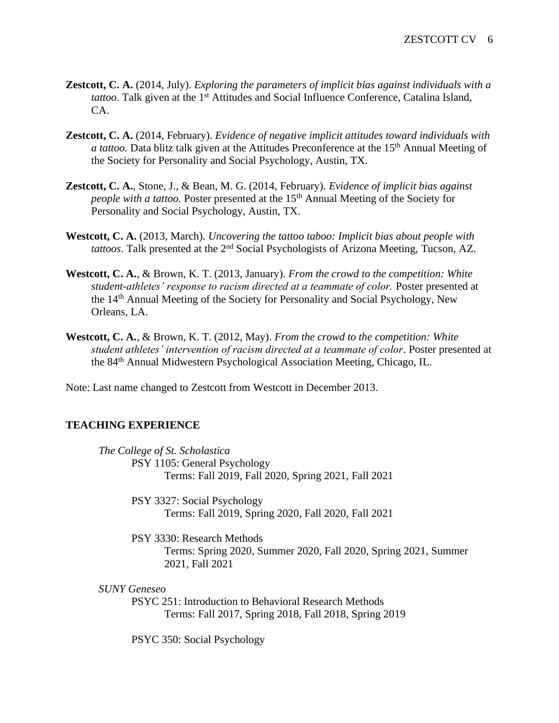- **Zestcott, C. A.** (2014, July). *Exploring the parameters of implicit bias against individuals with a tattoo*. Talk given at the 1<sup>st</sup> Attitudes and Social Influence Conference, Catalina Island, CA.
- **Zestcott, C. A.** (2014, February). *Evidence of negative implicit attitudes toward individuals with a tattoo.* Data blitz talk given at the Attitudes Preconference at the 15<sup>th</sup> Annual Meeting of the Society for Personality and Social Psychology, Austin, TX.
- **Zestcott, C. A.**, Stone, J., & Bean, M. G. (2014, February). *Evidence of implicit bias against people with a tattoo.* Poster presented at the 15<sup>th</sup> Annual Meeting of the Society for Personality and Social Psychology, Austin, TX.
- **Westcott, C. A.** (2013, March). *Uncovering the tattoo taboo: Implicit bias about people with tattoos*. Talk presented at the 2nd Social Psychologists of Arizona Meeting, Tucson, AZ.
- **Westcott, C. A.**, & Brown, K. T. (2013, January). *From the crowd to the competition: White student-athletes' response to racism directed at a teammate of color.* Poster presented at the 14th Annual Meeting of the Society for Personality and Social Psychology, New Orleans, LA.
- **Westcott, C. A.**, & Brown, K. T. (2012, May). *From the crowd to the competition: White student athletes' intervention of racism directed at a teammate of color*. Poster presented at the 84th Annual Midwestern Psychological Association Meeting, Chicago, IL.

Note: Last name changed to Zestcott from Westcott in December 2013.

#### **TEACHING EXPERIENCE**

*The College of St. Scholastica* PSY 1105: General Psychology Terms: Fall 2019, Fall 2020, Spring 2021, Fall 2021

> PSY 3327: Social Psychology Terms: Fall 2019, Spring 2020, Fall 2020, Fall 2021

PSY 3330: Research Methods Terms: Spring 2020, Summer 2020, Fall 2020, Spring 2021, Summer 2021, Fall 2021

*SUNY Geneseo*

PSYC 251: Introduction to Behavioral Research Methods Terms: Fall 2017, Spring 2018, Fall 2018, Spring 2019

PSYC 350: Social Psychology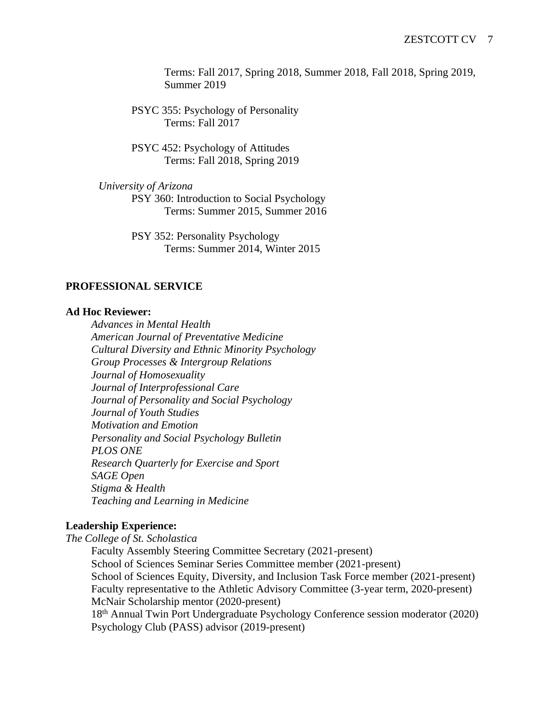Terms: Fall 2017, Spring 2018, Summer 2018, Fall 2018, Spring 2019, Summer 2019

PSYC 355: Psychology of Personality Terms: Fall 2017

PSYC 452: Psychology of Attitudes Terms: Fall 2018, Spring 2019

*University of Arizona* PSY 360: Introduction to Social Psychology

Terms: Summer 2015, Summer 2016

PSY 352: Personality Psychology Terms: Summer 2014, Winter 2015

## **PROFESSIONAL SERVICE**

#### **Ad Hoc Reviewer:**

*Advances in Mental Health American Journal of Preventative Medicine Cultural Diversity and Ethnic Minority Psychology Group Processes & Intergroup Relations Journal of Homosexuality Journal of Interprofessional Care Journal of Personality and Social Psychology Journal of Youth Studies Motivation and Emotion Personality and Social Psychology Bulletin PLOS ONE Research Quarterly for Exercise and Sport SAGE Open Stigma & Health Teaching and Learning in Medicine*

#### **Leadership Experience:**

*The College of St. Scholastica*

Faculty Assembly Steering Committee Secretary (2021-present) School of Sciences Seminar Series Committee member (2021-present) School of Sciences Equity, Diversity, and Inclusion Task Force member (2021-present) Faculty representative to the Athletic Advisory Committee (3-year term, 2020-present) McNair Scholarship mentor (2020-present) 18th Annual Twin Port Undergraduate Psychology Conference session moderator (2020) Psychology Club (PASS) advisor (2019-present)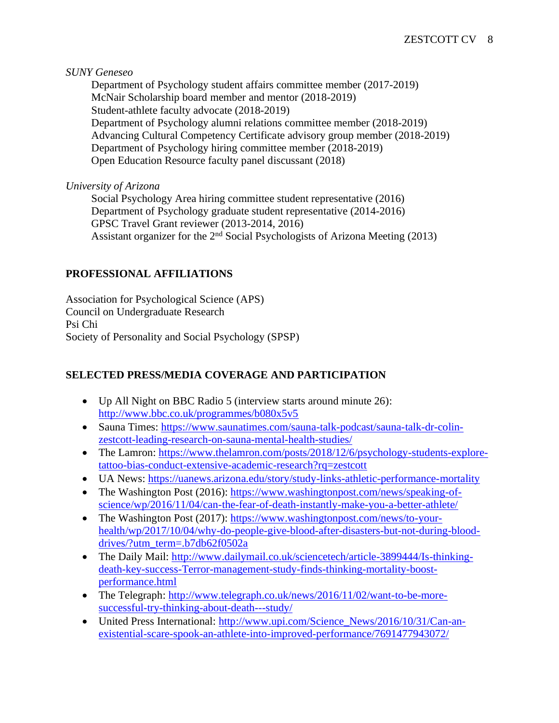*SUNY Geneseo*

Department of Psychology student affairs committee member (2017-2019) McNair Scholarship board member and mentor (2018-2019) Student-athlete faculty advocate (2018-2019) Department of Psychology alumni relations committee member (2018-2019) Advancing Cultural Competency Certificate advisory group member (2018-2019) Department of Psychology hiring committee member (2018-2019) Open Education Resource faculty panel discussant (2018)

## *University of Arizona*

Social Psychology Area hiring committee student representative (2016) Department of Psychology graduate student representative (2014-2016) GPSC Travel Grant reviewer (2013-2014, 2016) Assistant organizer for the  $2<sup>nd</sup>$  Social Psychologists of Arizona Meeting (2013)

# **PROFESSIONAL AFFILIATIONS**

Association for Psychological Science (APS) Council on Undergraduate Research Psi Chi Society of Personality and Social Psychology (SPSP)

# **SELECTED PRESS/MEDIA COVERAGE AND PARTICIPATION**

- Up All Night on BBC Radio 5 (interview starts around minute 26): <http://www.bbc.co.uk/programmes/b080x5v5>
- Sauna Times: [https://www.saunatimes.com/sauna-talk-podcast/sauna-talk-dr-colin](https://www.saunatimes.com/sauna-talk-podcast/sauna-talk-dr-colin-zestcott-leading-research-on-sauna-mental-health-studies/)[zestcott-leading-research-on-sauna-mental-health-studies/](https://www.saunatimes.com/sauna-talk-podcast/sauna-talk-dr-colin-zestcott-leading-research-on-sauna-mental-health-studies/)
- The Lamron: [https://www.thelamron.com/posts/2018/12/6/psychology-students-explore](https://www.thelamron.com/posts/2018/12/6/psychology-students-explore-tattoo-bias-conduct-extensive-academic-research?rq=zestcott)[tattoo-bias-conduct-extensive-academic-research?rq=zestcott](https://www.thelamron.com/posts/2018/12/6/psychology-students-explore-tattoo-bias-conduct-extensive-academic-research?rq=zestcott)
- UA News:<https://uanews.arizona.edu/story/study-links-athletic-performance-mortality>
- The Washington Post (2016): [https://www.washingtonpost.com/news/speaking-of](https://www.washingtonpost.com/news/speaking-of-science/wp/2016/11/04/can-the-fear-of-death-instantly-make-you-a-better-athlete/)[science/wp/2016/11/04/can-the-fear-of-death-instantly-make-you-a-better-athlete/](https://www.washingtonpost.com/news/speaking-of-science/wp/2016/11/04/can-the-fear-of-death-instantly-make-you-a-better-athlete/)
- The Washington Post (2017): https://www.washingtonpost.com/news/to-vour[health/wp/2017/10/04/why-do-people-give-blood-after-disasters-but-not-during-blood](https://www.washingtonpost.com/news/to-your-health/wp/2017/10/04/why-do-people-give-blood-after-disasters-but-not-during-blood-drives/?utm_term=.b7db62f0502a)[drives/?utm\\_term=.b7db62f0502a](https://www.washingtonpost.com/news/to-your-health/wp/2017/10/04/why-do-people-give-blood-after-disasters-but-not-during-blood-drives/?utm_term=.b7db62f0502a)
- The Daily Mail: [http://www.dailymail.co.uk/sciencetech/article-3899444/Is-thinking](http://www.dailymail.co.uk/sciencetech/article-3899444/Is-thinking-death-key-success-Terror-management-study-finds-thinking-mortality-boost-performance.html)[death-key-success-Terror-management-study-finds-thinking-mortality-boost](http://www.dailymail.co.uk/sciencetech/article-3899444/Is-thinking-death-key-success-Terror-management-study-finds-thinking-mortality-boost-performance.html)[performance.html](http://www.dailymail.co.uk/sciencetech/article-3899444/Is-thinking-death-key-success-Terror-management-study-finds-thinking-mortality-boost-performance.html)
- The Telegraph: [http://www.telegraph.co.uk/news/2016/11/02/want-to-be-more](http://www.telegraph.co.uk/news/2016/11/02/want-to-be-more-successful-try-thinking-about-death---study/)[successful-try-thinking-about-death---study/](http://www.telegraph.co.uk/news/2016/11/02/want-to-be-more-successful-try-thinking-about-death---study/)
- United Press International: [http://www.upi.com/Science\\_News/2016/10/31/Can-an](http://www.upi.com/Science_News/2016/10/31/Can-an-existential-scare-spook-an-athlete-into-improved-performance/7691477943072/)[existential-scare-spook-an-athlete-into-improved-performance/7691477943072/](http://www.upi.com/Science_News/2016/10/31/Can-an-existential-scare-spook-an-athlete-into-improved-performance/7691477943072/)